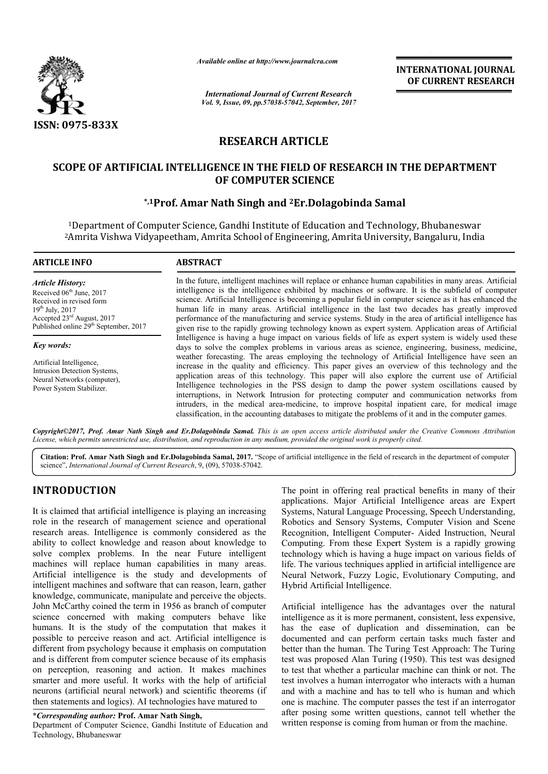

*Available online at http://www.journal http://www.journalcra.com*

*International Journal of Current Research Vol. 9, Issue, 09, pp.57038-57042, September, 2017* **INTERNATIONAL JOURNAL OF CURRENT RESEARCH** 

# **RESEARCH ARTICLE**

# SCOPE OF ARTIFICIAL INTELLIGENCE IN THE FIELD OF RESEARCH IN THE DEPARTMENT<br>OF COMPUTER SCIENCE<br><sup>5,1</sup>Prof. Amar Nath Singh and <sup>2</sup>Er.Dolagobinda Samal\* **OF COMPUTER SCIENCE**

# **\*,1Prof. Amar Nath Singh Prof. and 2Er.Dolagobinda Samal**

<sup>1</sup>Department of Computer Science, Gandhi Institute of Education and Technology, Bhubaneswar 2Amrita Vishwa Vidyapeetham, Amrita Amrita School of Engineering, Amrita University, Bangaluru, India

# **ARTICLE INFO ABSTRACT** In the future, intelligent machines will replace or enhance human capabilities in many areas. Artificial intelligence is the intelligence exhibited by machines or software. It is the subfield of computer science. Artificial Intelligence is becoming a popular field in computer science as it has enhanced the human life in many areas. Artificial intelligence in the last two decades has greatly improved performance of the manufacturing and service systems. Study in the area of artificial intelligence has given rise to the rapidly growing technology known as expert system. Application areas of Artificial Intelligence is having a huge impact on various fields of life as expert system is widely used these days to solve the complex problems in various areas as science, engineering, business, medicine, weather forecasting. The areas employing the technology of Artificial Intelligence have seen an increase in the quality and efficiency. This paper gives an overview of this technology and the application areas of this technology. This paper will also explore the current use of Artificial Intelligence technologies in the PSS design to damp the power system oscillations caused by interruptions, in Network Intrusion for protecting computer and communication networks from *Article History:* Received 06<sup>th</sup> June, 2017 Received in revised form 19th July, 2017  $\frac{1}{2}$ Accepted  $23^{\text{rd}}$  August, 2017 Published online 29<sup>th</sup> September, 2017 *Key words:* Artificial Intelligence, Intrusion Detection Systems, Neural Networks (computer), Power System Stabilizer. In the future, intelligent machines will replace or enhance human capabilities in many areas. Artificial<br>intelligence is the intelligence exhibited by machines or software. It is the subfield of computer<br>science. Artificia **INTERNATIONAL JOURNAL**<br>
OF CURRENT RESEARCH<br>
OF CURRENT RESEARCH<br>
Correlations<br>
of the computer and the computer and the computer passes the dist if an interrogation<br>
and Technology, Bhubanesware<br>
and Technology, Bhubanes

Copyright©2017, Prof. Amar Nath Singh and Er.Dolagobinda Samal. This is an open access article distributed under the Creative Commons Attribution *License, which permits unrestricted use, distribution, and reproduction in any medium, provided the original work is properly cited. use, in medium, cited.*

intruders, in the medical area-medicine, to improve hospital inpatient care, for medical image classification, in the accounting databases to mitigate the problems of it and in the computer games.

Citation: Prof. Amar Nath Singh and Er.Dolagobinda Samal, 2017. "Scope of artificial intelligence in the field of research in the department of computer science", International Journal of Current Research, 9, (09), 57038-57042.

# **INTRODUCTION**

It is claimed that artificial intelligence is playing an increasing role in the research of management science and operational research areas. Intelligence is commonly considered as the ability to collect knowledge and reason about knowledge to solve complex problems. In the near Future intelligent machines will replace human capabilities in many areas. Artificial intelligence is the study and developments of intelligent machines and software that can reason, learn, gather knowledge, communicate, manipulate and perceive the objects. John McCarthy coined the term in 1956 as branch of computer science concerned with making computers behave like humans. It is the study of the computation that makes it possible to perceive reason and act. Artificial intelligence is different from psychology because it emphasis on computation and is different from computer science because of its emphasis on perception, reasoning and action. It makes machines smarter and more useful. It works with the help of artificial neurons (artificial neural network) and scientific theorems (if then statements and logics). AI technologies have matured to **UCTION**<br>
The point in offering real practical benefits in many of their<br>
applications. Matural Intelligence areas are Expert<br>
research of management science and operational Robotics and Sensory Systems, Computer Vision an

\**Corresponding author:* **Prof. Amar Nath Singh,** 

Department of Computer Science, Gandhi Institute of Education and Technology, Bhubaneswar

applications. Major Artificial Intelligence areas are Expert Systems, Natural Language Processing, Speech Understanding, Robotics and Sensory Systems, Computer Vision and Scene Recognition, Intelligent Computer-Aided Instruction, Neural Computing. From these Expert System is a rapidly growing technology which is having a huge impact on various fields of life. The various techniques applied in artificial intelligence are Neural Network, Fuzzy Logic, Evolutionary Computing, and Hybrid Artificial Intelligence. fering real practical benefits in many of their<br>ajor Artificial Intelligence areas are Expert<br>I Language Processing, Speech Understanding,<br>ensory Systems, Computer-Vision and Scene<br>elligent Computer-Aided Instruction, Neur

Artificial intelligence has the advantages over the natural intelligence as it is more permanent, consistent, less expensive, has the ease of duplication and dissemination, can be documented and can perform certain tasks much faster and better than the human. The Turing Test Approach: The Turing test was proposed Alan Turing (1950). This test was designed to test that whether a particular machine can think or not. The test involves a human interrogator who interacts with a human and with a machine and has to tell who is human and which one is machine. The computer passes the test if a after posing some written questions, cannot tell whether the written response is coming from human or from the machine. puting. From these Expert System is a rapidly growing nology which is having a huge impact on various fields of The various techniques applied in artificial intelligence are real Network, Fuzzy Logic, Evolutionary Computin ist that whether a particular machine can think or not. The involves a human interrogator who interacts with a human with a machine and has to tell who is human and which is machine. The computer passes the test if an inte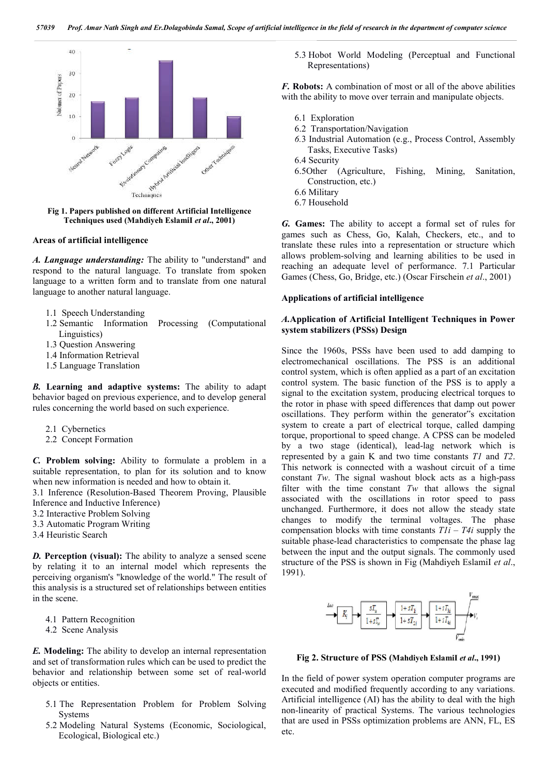

**Fig 1. Papers published on different Artificial Intelligence Techniques used (Mahdiyeh EslamiI** *et al***., 2001)**

#### **Areas of artificial intelligence**

*A. Language understanding:* The ability to "understand" and respond to the natural language. To translate from spoken language to a written form and to translate from one natural language to another natural language.

- 1.1 Speech Understanding
- 1.2 Semantic Information Processing (Computational Linguistics)
- 1.3 Question Answering
- 1.4 Information Retrieval
- 1.5 Language Translation

*B.* **Learning and adaptive systems:** The ability to adapt behavior baged on previous experience, and to develop general rules concerning the world based on such experience.

- 2.1 Cybernetics
- 2.2 Concept Formation

*C.* **Problem solving:** Ability to formulate a problem in a suitable representation, to plan for its solution and to know when new information is needed and how to obtain it.

3.1 Inference (Resolution-Based Theorem Proving, Plausible Inference and Inductive Inference)

- 3.2 Interactive Problem Solving
- 3.3 Automatic Program Writing
- 3.4 Heuristic Search

*D.* Perception (visual): The ability to analyze a sensed scene by relating it to an internal model which represents the perceiving organism's "knowledge of the world." The result of this analysis is a structured set of relationships between entities in the scene.

- 4.1 Pattern Recognition
- 4.2 Scene Analysis

*E.* **Modeling:** The ability to develop an internal representation and set of transformation rules which can be used to predict the behavior and relationship between some set of real-world objects or entities.

- 5.1 The Representation Problem for Problem Solving Systems
- 5.2 Modeling Natural Systems (Economic, Sociological, Ecological, Biological etc.)

5.3 Hobot World Modeling (Perceptual and Functional Representations)

*F.* **Robots:** A combination of most or all of the above abilities with the ability to move over terrain and manipulate objects.

- 6.1 Exploration
- 6.2 Transportation/Navigation
- *6.*3 Industrial Automation (e.g., Process Control, Assembly Tasks, Executive Tasks)
- 6.4 Security
- 6.5Other (Agriculture, Fishing, Mining, Sanitation, Construction, etc.)
- 6.6 Military
- 6.7 Household

*G.* **Games:** The ability to accept a formal set of rules for games such as Chess, Go, Kalah, Checkers, etc., and to translate these rules into a representation or structure which allows problem-solving and learning abilities to be used in reaching an adequate level of performance. 7.1 Particular Games (Chess, Go, Bridge, etc.) (Oscar Firschein *et al*., 2001)

#### **Applications of artificial intelligence**

#### *A.***Application of Artificial Intelligent Techniques in Power system stabilizers (PSSs) Design**

Since the 1960s, PSSs have been used to add damping to electromechanical oscillations. The PSS is an additional control system, which is often applied as a part of an excitation control system. The basic function of the PSS is to apply a signal to the excitation system, producing electrical torques to the rotor in phase with speed differences that damp out power oscillations. They perform within the generator"s excitation system to create a part of electrical torque, called damping torque, proportional to speed change. A CPSS can be modeled by a two stage (identical), lead-lag network which is represented by a gain K and two time constants *T1* and *T2*. This network is connected with a washout circuit of a time constant *Tw*. The signal washout block acts as a high-pass filter with the time constant *Tw* that allows the signal associated with the oscillations in rotor speed to pass unchanged. Furthermore, it does not allow the steady state changes to modify the terminal voltages. The phase compensation blocks with time constants *T1i – T4i* supply the suitable phase-lead characteristics to compensate the phase lag between the input and the output signals. The commonly used structure of the PSS is shown in Fig (Mahdiyeh EslamiI *et al*., 1991).



**Fig 2. Structure of PSS (Mahdiyeh EslamiI** *et al***., 1991)**

In the field of power system operation computer programs are executed and modified frequently according to any variations. Artificial intelligence (AI) has the ability to deal with the high non-linearity of practical Systems. The various technologies that are used in PSSs optimization problems are ANN, FL, ES etc.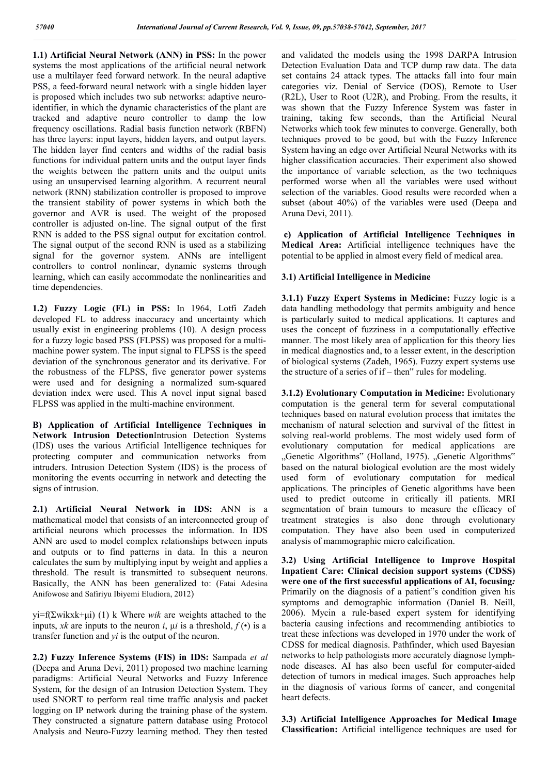**1.1) Artificial Neural Network (ANN) in PSS:** In the power systems the most applications of the artificial neural network use a multilayer feed forward network. In the neural adaptive PSS, a feed-forward neural network with a single hidden layer is proposed which includes two sub networks: adaptive neuroidentifier, in which the dynamic characteristics of the plant are tracked and adaptive neuro controller to damp the low frequency oscillations. Radial basis function network (RBFN) has three layers: input layers, hidden layers, and output layers. The hidden layer find centers and widths of the radial basis functions for individual pattern units and the output layer finds the weights between the pattern units and the output units using an unsupervised learning algorithm. A recurrent neural network (RNN) stabilization controller is proposed to improve the transient stability of power systems in which both the governor and AVR is used. The weight of the proposed controller is adjusted on-line. The signal output of the first RNN is added to the PSS signal output for excitation control. The signal output of the second RNN is used as a stabilizing signal for the governor system. ANNs are intelligent controllers to control nonlinear, dynamic systems through learning, which can easily accommodate the nonlinearities and time dependencies.

**1.2) Fuzzy Logic (FL) in PSS:** In 1964, Lotfi Zadeh developed FL to address inaccuracy and uncertainty which usually exist in engineering problems (10). A design process for a fuzzy logic based PSS (FLPSS) was proposed for a multimachine power system. The input signal to FLPSS is the speed deviation of the synchronous generator and its derivative. For the robustness of the FLPSS, five generator power systems were used and for designing a normalized sum-squared deviation index were used. This A novel input signal based FLPSS was applied in the multi-machine environment.

**B) Application of Artificial Intelligence Techniques in Network Intrusion Detection**Intrusion Detection Systems (IDS) uses the various Artificial Intelligence techniques for protecting computer and communication networks from intruders. Intrusion Detection System (IDS) is the process of monitoring the events occurring in network and detecting the signs of intrusion.

**2.1) Artificial Neural Network in IDS:** ANN is a mathematical model that consists of an interconnected group of artificial neurons which processes the information. In IDS ANN are used to model complex relationships between inputs and outputs or to find patterns in data. In this a neuron calculates the sum by multiplying input by weight and applies a threshold. The result is transmitted to subsequent neurons. Basically, the ANN has been generalized to: (Fatai Adesina Anifowose and Safiriyu Ibiyemi Eludiora, 2012)

yi=f(Σwikxk+μi) (1) k Where *wik* are weights attached to the inputs, *xk* are inputs to the neuron *i*,  $\mu$ *i* is a threshold,  $f(\cdot)$  is a transfer function and *yi* is the output of the neuron.

**2.2) Fuzzy Inference Systems (FIS) in IDS:** Sampada *et al* (Deepa and Aruna Devi, 2011) proposed two machine learning paradigms: Artificial Neural Networks and Fuzzy Inference System, for the design of an Intrusion Detection System. They used SNORT to perform real time traffic analysis and packet logging on IP network during the training phase of the system. They constructed a signature pattern database using Protocol Analysis and Neuro-Fuzzy learning method. They then tested

and validated the models using the 1998 DARPA Intrusion Detection Evaluation Data and TCP dump raw data. The data set contains 24 attack types. The attacks fall into four main categories viz. Denial of Service (DOS), Remote to User (R2L), User to Root (U2R), and Probing. From the results, it was shown that the Fuzzy Inference System was faster in training, taking few seconds, than the Artificial Neural Networks which took few minutes to converge. Generally, both techniques proved to be good, but with the Fuzzy Inference System having an edge over Artificial Neural Networks with its higher classification accuracies. Their experiment also showed the importance of variable selection, as the two techniques performed worse when all the variables were used without selection of the variables. Good results were recorded when a subset (about 40%) of the variables were used (Deepa and Aruna Devi, 2011).

**c) Application of Artificial Intelligence Techniques in Medical Area:** Artificial intelligence techniques have the potential to be applied in almost every field of medical area.

## **3.1) Artificial Intelligence in Medicine**

**3.1.1) Fuzzy Expert Systems in Medicine:** Fuzzy logic is a data handling methodology that permits ambiguity and hence is particularly suited to medical applications. It captures and uses the concept of fuzziness in a computationally effective manner. The most likely area of application for this theory lies in medical diagnostics and, to a lesser extent, in the description of biological systems (Zadeh, 1965). Fuzzy expert systems use the structure of a series of if – then" rules for modeling.

**3.1.2) Evolutionary Computation in Medicine:** Evolutionary computation is the general term for several computational techniques based on natural evolution process that imitates the mechanism of natural selection and survival of the fittest in solving real-world problems. The most widely used form of evolutionary computation for medical applications are "Genetic Algorithms" (Holland, 1975). "Genetic Algorithms" based on the natural biological evolution are the most widely used form of evolutionary computation for medical applications. The principles of Genetic algorithms have been used to predict outcome in critically ill patients. MRI segmentation of brain tumours to measure the efficacy of treatment strategies is also done through evolutionary computation. They have also been used in computerized analysis of mammographic micro calcification.

**3.2) Using Artificial Intelligence to Improve Hospital Inpatient Care: Clinical decision support systems (CDSS) were one of the first successful applications of AI, focusing***:*  Primarily on the diagnosis of a patient"s condition given his symptoms and demographic information (Daniel B. Neill, 2006). Mycin a rule-based expert system for identifying bacteria causing infections and recommending antibiotics to treat these infections was developed in 1970 under the work of CDSS for medical diagnosis. Pathfinder, which used Bayesian networks to help pathologists more accurately diagnose lymphnode diseases. AI has also been useful for computer-aided detection of tumors in medical images. Such approaches help in the diagnosis of various forms of cancer, and congenital heart defects.

**3.3) Artificial Intelligence Approaches for Medical Image Classification:** Artificial intelligence techniques are used for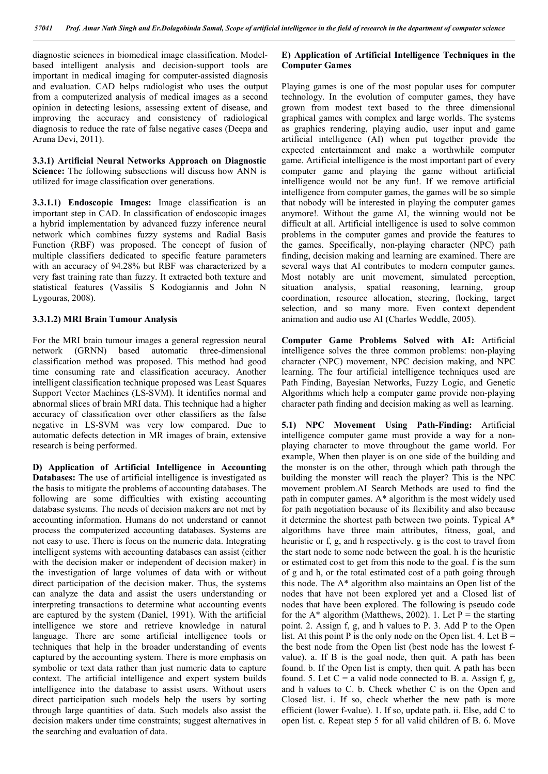diagnostic sciences in biomedical image classification. Modelbased intelligent analysis and decision-support tools are important in medical imaging for computer-assisted diagnosis and evaluation. CAD helps radiologist who uses the output from a computerized analysis of medical images as a second opinion in detecting lesions, assessing extent of disease, and improving the accuracy and consistency of radiological diagnosis to reduce the rate of false negative cases (Deepa and Aruna Devi, 2011).

**3.3.1) Artificial Neural Networks Approach on Diagnostic Science:** The following subsections will discuss how ANN is utilized for image classification over generations.

**3.3.1.1) Endoscopic Images:** Image classification is an important step in CAD. In classification of endoscopic images a hybrid implementation by advanced fuzzy inference neural network which combines fuzzy systems and Radial Basis Function (RBF) was proposed. The concept of fusion of multiple classifiers dedicated to specific feature parameters with an accuracy of 94.28% but RBF was characterized by a very fast training rate than fuzzy. It extracted both texture and statistical features (Vassilis S Kodogiannis and John N Lygouras, 2008).

### **3.3.1.2) MRI Brain Tumour Analysis**

For the MRI brain tumour images a general regression neural network (GRNN) based automatic three-dimensional classification method was proposed. This method had good time consuming rate and classification accuracy. Another intelligent classification technique proposed was Least Squares Support Vector Machines (LS-SVM). It identifies normal and abnormal slices of brain MRI data. This technique had a higher accuracy of classification over other classifiers as the false negative in LS-SVM was very low compared. Due to automatic defects detection in MR images of brain, extensive research is being performed.

**D) Application of Artificial Intelligence in Accounting Databases:** The use of artificial intelligence is investigated as the basis to mitigate the problems of accounting databases. The following are some difficulties with existing accounting database systems. The needs of decision makers are not met by accounting information. Humans do not understand or cannot process the computerized accounting databases. Systems are not easy to use. There is focus on the numeric data. Integrating intelligent systems with accounting databases can assist (either with the decision maker or independent of decision maker) in the investigation of large volumes of data with or without direct participation of the decision maker. Thus, the systems can analyze the data and assist the users understanding or interpreting transactions to determine what accounting events are captured by the system (Daniel, 1991). With the artificial intelligence we store and retrieve knowledge in natural language. There are some artificial intelligence tools or techniques that help in the broader understanding of events captured by the accounting system. There is more emphasis on symbolic or text data rather than just numeric data to capture context. The artificial intelligence and expert system builds intelligence into the database to assist users. Without users direct participation such models help the users by sorting through large quantities of data. Such models also assist the decision makers under time constraints; suggest alternatives in the searching and evaluation of data.

## **E) Application of Artificial Intelligence Techniques in the Computer Games**

Playing games is one of the most popular uses for computer technology. In the evolution of computer games, they have grown from modest text based to the three dimensional graphical games with complex and large worlds. The systems as graphics rendering, playing audio, user input and game artificial intelligence (AI) when put together provide the expected entertainment and make a worthwhile computer game. Artificial intelligence is the most important part of every computer game and playing the game without artificial intelligence would not be any fun!. If we remove artificial intelligence from computer games, the games will be so simple that nobody will be interested in playing the computer games anymore!. Without the game AI, the winning would not be difficult at all. Artificial intelligence is used to solve common problems in the computer games and provide the features to the games. Specifically, non-playing character (NPC) path finding, decision making and learning are examined. There are several ways that AI contributes to modern computer games. Most notably are unit movement, simulated perception, situation analysis, spatial reasoning, learning, group coordination, resource allocation, steering, flocking, target selection, and so many more. Even context dependent animation and audio use AI (Charles Weddle, 2005).

**Computer Game Problems Solved with AI:** Artificial intelligence solves the three common problems: non-playing character (NPC) movement, NPC decision making, and NPC learning. The four artificial intelligence techniques used are Path Finding, Bayesian Networks, Fuzzy Logic, and Genetic Algorithms which help a computer game provide non-playing character path finding and decision making as well as learning.

**5.1) NPC Movement Using Path-Finding:** Artificial intelligence computer game must provide a way for a nonplaying character to move throughout the game world. For example, When then player is on one side of the building and the monster is on the other, through which path through the building the monster will reach the player? This is the NPC movement problem.AI Search Methods are used to find the path in computer games. A\* algorithm is the most widely used for path negotiation because of its flexibility and also because it determine the shortest path between two points. Typical A\* algorithms have three main attributes, fitness, goal, and heuristic or f, g, and h respectively. g is the cost to travel from the start node to some node between the goal. h is the heuristic or estimated cost to get from this node to the goal. f is the sum of g and h, or the total estimated cost of a path going through this node. The A\* algorithm also maintains an Open list of the nodes that have not been explored yet and a Closed list of nodes that have been explored. The following is pseudo code for the A\* algorithm (Matthews, 2002). 1. Let  $P =$  the starting point. 2. Assign f, g, and h values to P. 3. Add P to the Open list. At this point P is the only node on the Open list. 4. Let  $B =$ the best node from the Open list (best node has the lowest fvalue). a. If B is the goal node, then quit. A path has been found. b. If the Open list is empty, then quit. A path has been found. 5. Let  $C = a$  valid node connected to B. a. Assign f, g, and h values to C. b. Check whether C is on the Open and Closed list. i. If so, check whether the new path is more efficient (lower f-value). 1. If so, update path. ii. Else, add C to open list. c. Repeat step 5 for all valid children of B. 6. Move